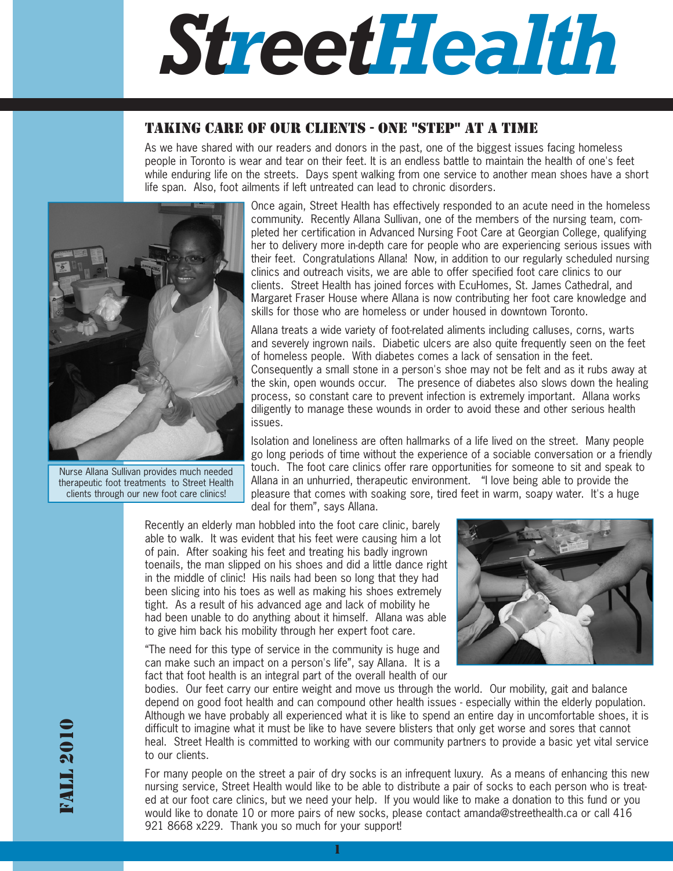# *StreetHealth*

## TAKING CARE OF OUR CLIENTS - ONE "STEP" AT A TIME

As we have shared with our readers and donors in the past, one of the biggest issues facing homeless people in Toronto is wear and tear on their feet. It is an endless battle to maintain the health of one's feet while enduring life on the streets. Davs spent walking from one service to another mean shoes have a short life span. Also, foot ailments if left untreated can lead to chronic disorders.



Nurse Allana Sullivan provides much needed therapeutic foot treatments to Street Health clients through our new foot care clinics!

Once again, Street Health has effectively responded to an acute need in the homeless community. Recently Allana Sullivan, one of the members of the nursing team, completed her certification in Advanced Nursing Foot Care at Georgian College, qualifying her to delivery more in-depth care for people who are experiencing serious issues with their feet. Congratulations Allana! Now, in addition to our regularly scheduled nursing clinics and outreach visits, we are able to offer specified foot care clinics to our clients. Street Health has joined forces with EcuHomes, St. James Cathedral, and Margaret Fraser House where Allana is now contributing her foot care knowledge and skills for those who are homeless or under housed in downtown Toronto.

Allana treats a wide variety of foot-related aliments including calluses, corns, warts and severely ingrown nails. Diabetic ulcers are also quite frequently seen on the feet of homeless people. With diabetes comes a lack of sensation in the feet. Consequently a small stone in a person's shoe may not be felt and as it rubs away at the skin, open wounds occur. The presence of diabetes also slows down the healing process, so constant care to prevent infection is extremely important. Allana works diligently to manage these wounds in order to avoid these and other serious health issues.

Isolation and loneliness are often hallmarks of a life lived on the street. Many people go long periods of time without the experience of a sociable conversation or a friendly touch. The foot care clinics offer rare opportunities for someone to sit and speak to Allana in an unhurried, therapeutic environment. "I love being able to provide the pleasure that comes with soaking sore, tired feet in warm, soapy water. It's a huge deal for them", says Allana.

Recently an elderly man hobbled into the foot care clinic, barely able to walk. It was evident that his feet were causing him a lot of pain. After soaking his feet and treating his badly ingrown toenails, the man slipped on his shoes and did a little dance right in the middle of clinic! His nails had been so long that they had been slicing into his toes as well as making his shoes extremely tight. As a result of his advanced age and lack of mobility he had been unable to do anything about it himself. Allana was able to give him back his mobility through her expert foot care.

"The need for this type of service in the community is huge and can make such an impact on a person's life", say Allana. It is a fact that foot health is an integral part of the overall health of our



bodies. Our feet carry our entire weight and move us through the world. Our mobility, gait and balance depend on good foot health and can compound other health issues - especially within the elderly population. Although we have probably all experienced what it is like to spend an entire day in uncomfortable shoes, it is difficult to imagine what it must be like to have severe blisters that only get worse and sores that cannot heal. Street Health is committed to working with our community partners to provide a basic yet vital service to our clients.

For many people on the street a pair of dry socks is an infrequent luxury. As a means of enhancing this new nursing service, Street Health would like to be able to distribute a pair of socks to each person who is treated at our foot care clinics, but we need your help. If you would like to make a donation to this fund or you would like to donate 10 or more pairs of new socks, please contact amanda@streethealth.ca or call 416 921 8668 x229. Thank you so much for your support!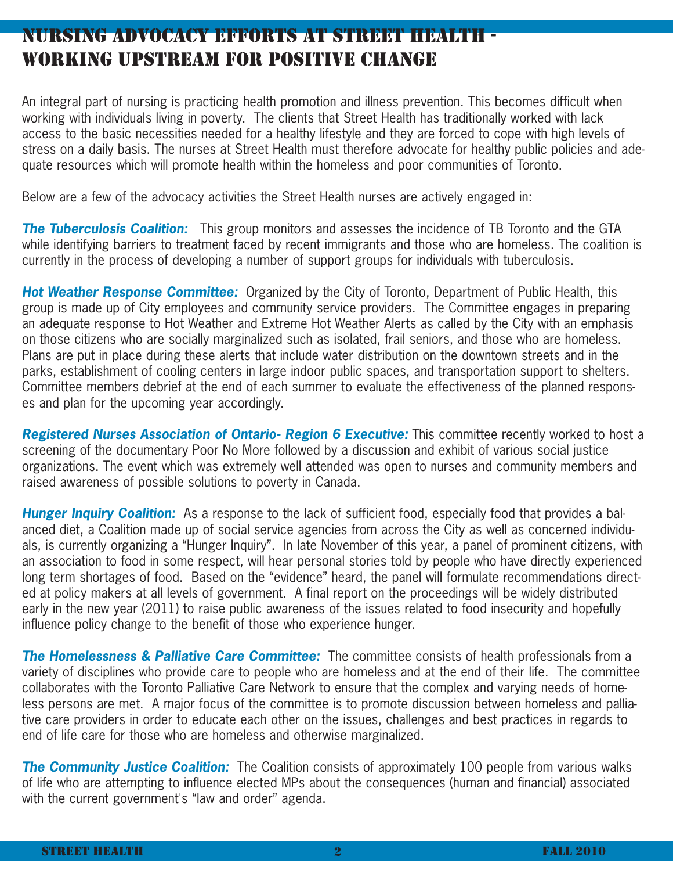# NURSING ADVOCACY EFFORTS AT STREET HEALTH - WORKING UPSTREAM FOR POSITIVE CHANGE

An integral part of nursing is practicing health promotion and illness prevention. This becomes difficult when working with individuals living in poverty. The clients that Street Health has traditionally worked with lack access to the basic necessities needed for a healthy lifestyle and they are forced to cope with high levels of stress on a daily basis. The nurses at Street Health must therefore advocate for healthy public policies and adequate resources which will promote health within the homeless and poor communities of Toronto.

Below are a few of the advocacy activities the Street Health nurses are actively engaged in:

**The Tuberculosis Coalition:** This group monitors and assesses the incidence of TB Toronto and the GTA while identifying barriers to treatment faced by recent immigrants and those who are homeless. The coalition is currently in the process of developing a number of support groups for individuals with tuberculosis.

**Hot Weather Response Committee:** Organized by the City of Toronto, Department of Public Health, this group is made up of City employees and community service providers. The Committee engages in preparing an adequate response to Hot Weather and Extreme Hot Weather Alerts as called by the City with an emphasis on those citizens who are socially marginalized such as isolated, frail seniors, and those who are homeless. Plans are put in place during these alerts that include water distribution on the downtown streets and in the parks, establishment of cooling centers in large indoor public spaces, and transportation support to shelters. Committee members debrief at the end of each summer to evaluate the effectiveness of the planned responses and plan for the upcoming year accordingly.

**Registered Nurses Association of Ontario- Region 6 Executive:** This committee recently worked to host a screening of the documentary Poor No More followed by a discussion and exhibit of various social justice organizations. The event which was extremely well attended was open to nurses and community members and raised awareness of possible solutions to poverty in Canada.

**Hunger Inquiry Coalition:** As a response to the lack of sufficient food, especially food that provides a balanced diet, a Coalition made up of social service agencies from across the City as well as concerned individuals, is currently organizing a "Hunger Inquiry". In late November of this year, a panel of prominent citizens, with an association to food in some respect, will hear personal stories told by people who have directly experienced long term shortages of food. Based on the "evidence" heard, the panel will formulate recommendations directed at policy makers at all levels of government. A final report on the proceedings will be widely distributed early in the new year (2011) to raise public awareness of the issues related to food insecurity and hopefully influence policy change to the benefit of those who experience hunger.

**The Homelessness & Palliative Care Committee:** The committee consists of health professionals from a variety of disciplines who provide care to people who are homeless and at the end of their life. The committee collaborates with the Toronto Palliative Care Network to ensure that the complex and varying needs of homeless persons are met. A major focus of the committee is to promote discussion between homeless and palliative care providers in order to educate each other on the issues, challenges and best practices in regards to end of life care for those who are homeless and otherwise marginalized.

**The Community Justice Coalition:** The Coalition consists of approximately 100 people from various walks of life who are attempting to influence elected MPs about the consequences (human and financial) associated with the current government's "law and order" agenda.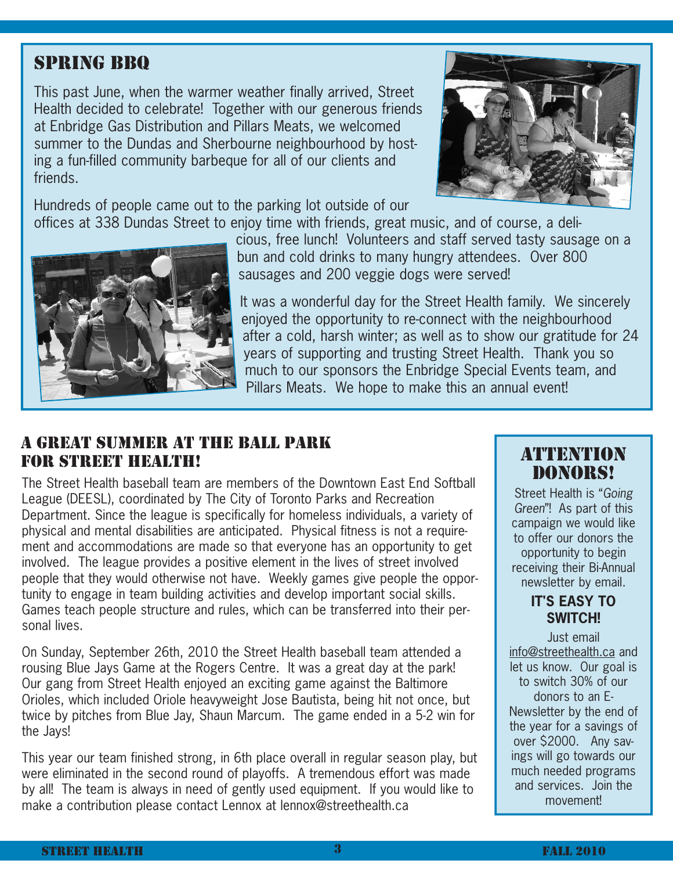# SPRING BBQ

This past June, when the warmer weather finally arrived, Street Health decided to celebrate! Together with our generous friends at Enbridge Gas Distribution and Pillars Meats, we welcomed summer to the Dundas and Sherbourne neighbourhood by hosting a fun-filled community barbeque for all of our clients and friends.

Hundreds of people came out to the parking lot outside of our offices at 338 Dundas Street to enjoy time with friends, great music, and of course, a deli-





cious, free lunch! Volunteers and staff served tasty sausage on a bun and cold drinks to many hungry attendees. Over 800 sausages and 200 veggie dogs were served!

It was a wonderful day for the Street Health family. We sincerely enjoyed the opportunity to re-connect with the neighbourhood after a cold, harsh winter; as well as to show our gratitude for 24 years of supporting and trusting Street Health. Thank you so much to our sponsors the Enbridge Special Events team, and Pillars Meats. We hope to make this an annual event!

## A GREAT SUMMER AT THE BALL PARK FOR STREET HEALTH!

The Street Health baseball team are members of the Downtown East End Softball League (DEESL), coordinated by The City of Toronto Parks and Recreation Department. Since the league is specifically for homeless individuals, a variety of physical and mental disabilities are anticipated. Physical fitness is not a requirement and accommodations are made so that everyone has an opportunity to get involved. The league provides a positive element in the lives of street involved people that they would otherwise not have. Weekly games give people the opportunity to engage in team building activities and develop important social skills. Games teach people structure and rules, which can be transferred into their personal lives.

On Sunday, September 26th, 2010 the Street Health baseball team attended a rousing Blue Jays Game at the Rogers Centre. It was a great day at the park! Our gang from Street Health enjoyed an exciting game against the Baltimore Orioles, which included Oriole heavyweight Jose Bautista, being hit not once, but twice by pitches from Blue Jay, Shaun Marcum. The game ended in a 5-2 win for the Jays!

This year our team finished strong, in 6th place overall in regular season play, but were eliminated in the second round of playoffs. A tremendous effort was made by all! The team is always in need of gently used equipment. If you would like to make a contribution please contact Lennox at lennox@streethealth.ca

## ATTENTION DONORS!

Street Health is "Going Green"! As part of this campaign we would like to offer our donors the opportunity to begin receiving their Bi-Annual newsletter by email.

## **IT'S EASY TO SWITCH!**

Just email info@streethealth.ca and let us know. Our goal is to switch 30% of our donors to an E-Newsletter by the end of the year for a savings of over \$2000. Any savings will go towards our much needed programs and services. Join the movement!